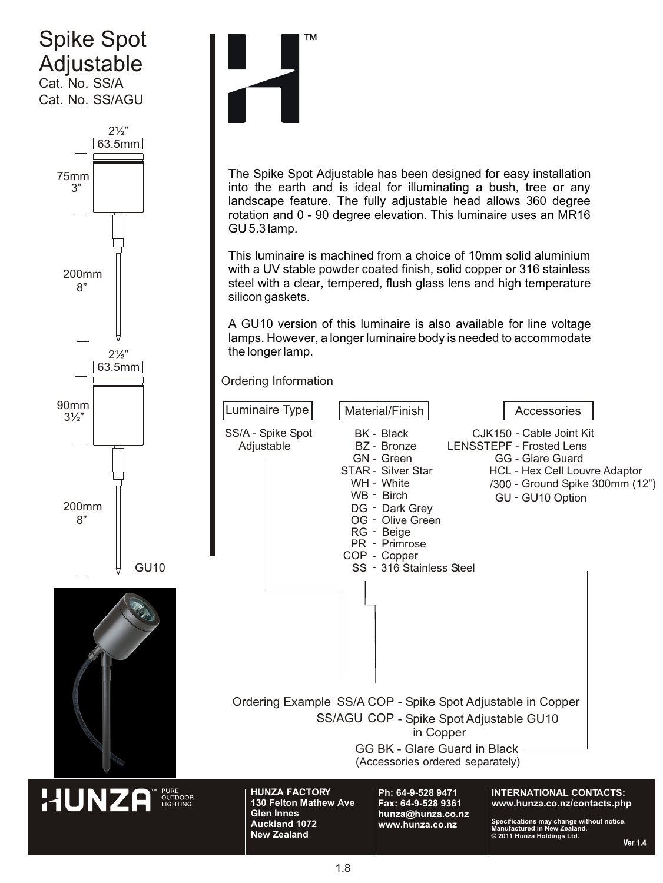

**INTERNATIONAL CONTACTS: www.hunza.co.nz/contacts.php**

**Specifications may change without notice. Manufactured in New Zealand. © 2011 Hunza Holdings Ltd.** Ver  $14$